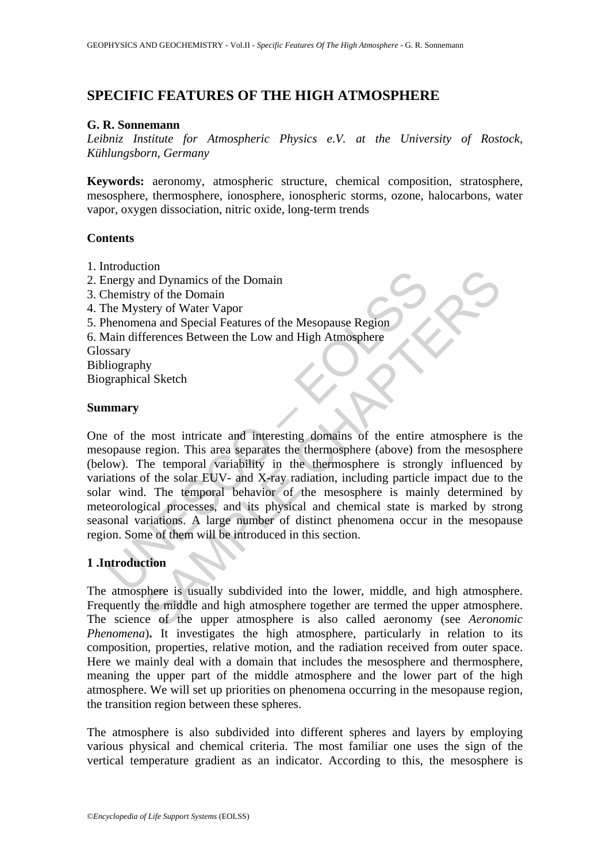# **SPECIFIC FEATURES OF THE HIGH ATMOSPHERE**

### **G. R. Sonnemann**

*Leibniz Institute for Atmospheric Physics e.V. at the University of Rostock, Kühlungsborn, Germany* 

**Keywords:** aeronomy, atmospheric structure, chemical composition, stratosphere, mesosphere, thermosphere, ionosphere, ionospheric storms, ozone, halocarbons, water vapor, oxygen dissociation, nitric oxide, long-term trends

### **Contents**

- 1. Introduction
- 2. Energy and Dynamics of the Domain
- 3. Chemistry of the Domain
- 4. The Mystery of Water Vapor
- 5. Phenomena and Special Features of the Mesopause Region
- 6. Main differences Between the Low and High Atmosphere

Glossary

Bibliography

Biographical Sketch

### **Summary**

measured.<br>
Intergy and Dynamics of the Domain<br>
hemistry of Water Vapor<br>
henomena and Special Features of the Mesopause Region<br>
henomena and Special Features of the Mesopause Region<br>
skary<br>
skary<br>
iography<br>
graphical Sketch From Dynamics of the Domain<br>that Dynamics of the Domain<br>that Dynamics of the Mesopause Region<br>Terences Between the Low and High Atmosphere<br>the most intricate and interesting domains of the entire atmosphere is<br>region. This One of the most intricate and interesting domains of the entire atmosphere is the mesopause region. This area separates the thermosphere (above) from the mesosphere (below). The temporal variability in the thermosphere is strongly influenced by variations of the solar EUV- and X-ray radiation, including particle impact due to the solar wind. The temporal behavior of the mesosphere is mainly determined by meteorological processes, and its physical and chemical state is marked by strong seasonal variations. A large number of distinct phenomena occur in the mesopause region. Some of them will be introduced in this section.

## **1 .Introduction**

The atmosphere is usually subdivided into the lower, middle, and high atmosphere. Frequently the middle and high atmosphere together are termed the upper atmosphere. The science of the upper atmosphere is also called aeronomy (see *Aeronomic Phenomena*). It investigates the high atmosphere, particularly in relation to its composition, properties, relative motion, and the radiation received from outer space. Here we mainly deal with a domain that includes the mesosphere and thermosphere, meaning the upper part of the middle atmosphere and the lower part of the high atmosphere. We will set up priorities on phenomena occurring in the mesopause region, the transition region between these spheres.

The atmosphere is also subdivided into different spheres and layers by employing various physical and chemical criteria. The most familiar one uses the sign of the vertical temperature gradient as an indicator. According to this, the mesosphere is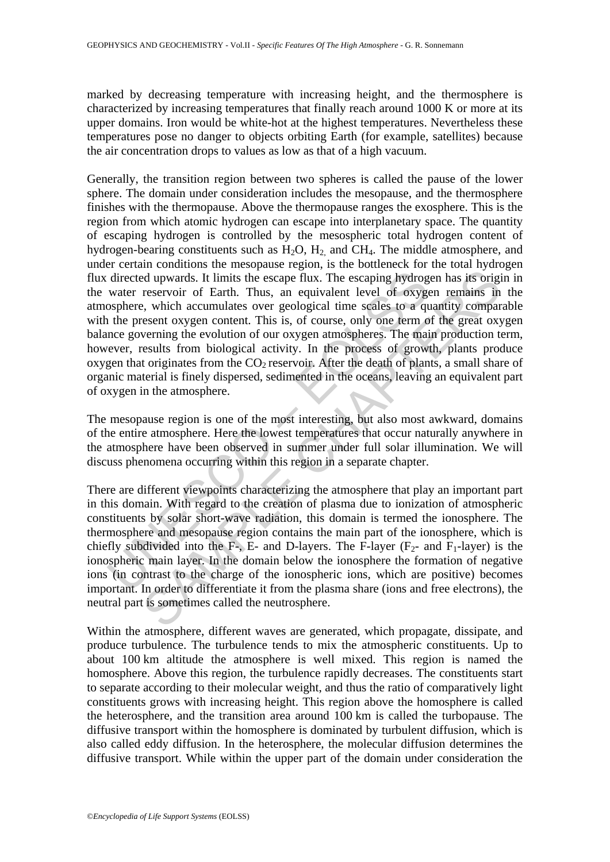marked by decreasing temperature with increasing height, and the thermosphere is characterized by increasing temperatures that finally reach around 1000 K or more at its upper domains. Iron would be white-hot at the highest temperatures. Nevertheless these temperatures pose no danger to objects orbiting Earth (for example, satellites) because the air concentration drops to values as low as that of a high vacuum.

directed upwards. It limits the escape flux. The escaping hydrog<br>water reservoir of Earth. Thus, an equivalent level of oxyge<br>osphere, which accumulates over geological time scales to a qu<br>the present oxygen content. This Exercise to the most limit of the particle in the particle in the particle in the sometime solution of the sometic sometic sometic sometic sometic sometic section of the recent oxygen content. This is, of course, only one Generally, the transition region between two spheres is called the pause of the lower sphere. The domain under consideration includes the mesopause, and the thermosphere finishes with the thermopause. Above the thermopause ranges the exosphere. This is the region from which atomic hydrogen can escape into interplanetary space. The quantity of escaping hydrogen is controlled by the mesospheric total hydrogen content of hydrogen-bearing constituents such as  $H_2O$ ,  $H_2$  and CH<sub>4</sub>. The middle atmosphere, and under certain conditions the mesopause region, is the bottleneck for the total hydrogen flux directed upwards. It limits the escape flux. The escaping hydrogen has its origin in the water reservoir of Earth. Thus, an equivalent level of oxygen remains in the atmosphere, which accumulates over geological time scales to a quantity comparable with the present oxygen content. This is, of course, only one term of the great oxygen balance governing the evolution of our oxygen atmospheres. The main production term, however, results from biological activity. In the process of growth, plants produce oxygen that originates from the  $CO<sub>2</sub>$  reservoir. After the death of plants, a small share of organic material is finely dispersed, sedimented in the oceans, leaving an equivalent part of oxygen in the atmosphere.

The mesopause region is one of the most interesting, but also most awkward, domains of the entire atmosphere. Here the lowest temperatures that occur naturally anywhere in the atmosphere have been observed in summer under full solar illumination. We will discuss phenomena occurring within this region in a separate chapter.

There are different viewpoints characterizing the atmosphere that play an important part in this domain. With regard to the creation of plasma due to ionization of atmospheric constituents by solar short-wave radiation, this domain is termed the ionosphere. The thermosphere and mesopause region contains the main part of the ionosphere, which is chiefly subdivided into the F-, E- and D-layers. The F-layer  $(F_2$ - and  $F_1$ -layer) is the ionospheric main layer. In the domain below the ionosphere the formation of negative ions (in contrast to the charge of the ionospheric ions, which are positive) becomes important. In order to differentiate it from the plasma share (ions and free electrons), the neutral part is sometimes called the neutrosphere.

Within the atmosphere, different waves are generated, which propagate, dissipate, and produce turbulence. The turbulence tends to mix the atmospheric constituents. Up to about 100 km altitude the atmosphere is well mixed. This region is named the homosphere. Above this region, the turbulence rapidly decreases. The constituents start to separate according to their molecular weight, and thus the ratio of comparatively light constituents grows with increasing height. This region above the homosphere is called the heterosphere, and the transition area around 100 km is called the turbopause. The diffusive transport within the homosphere is dominated by turbulent diffusion, which is also called eddy diffusion. In the heterosphere, the molecular diffusion determines the diffusive transport. While within the upper part of the domain under consideration the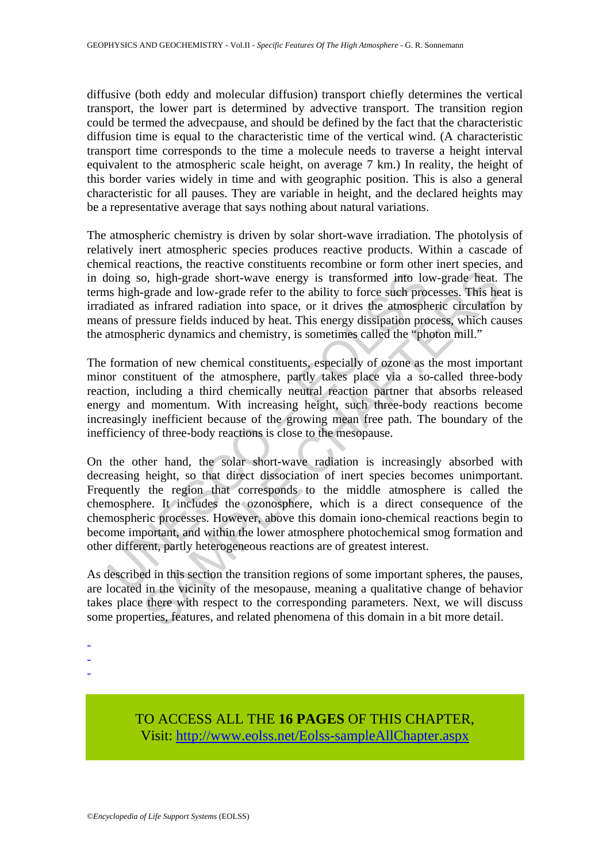diffusive (both eddy and molecular diffusion) transport chiefly determines the vertical transport, the lower part is determined by advective transport. The transition region could be termed the advecpause, and should be defined by the fact that the characteristic diffusion time is equal to the characteristic time of the vertical wind. (A characteristic transport time corresponds to the time a molecule needs to traverse a height interval equivalent to the atmospheric scale height, on average 7 km.) In reality, the height of this border varies widely in time and with geographic position. This is also a general characteristic for all pauses. They are variable in height, and the declared heights may be a representative average that says nothing about natural variations.

The atmospheric chemistry is driven by solar short-wave irradiation. The photolysis of relatively inert atmospheric species produces reactive products. Within a cascade of chemical reactions, the reactive constituents recombine or form other inert species, and in doing so, high-grade short-wave energy is transformed into low-grade heat. The terms high-grade and low-grade refer to the ability to force such processes. This heat is irradiated as infrared radiation into space, or it drives the atmospheric circulation by means of pressure fields induced by heat. This energy dissipation process, which causes the atmospheric dynamics and chemistry, is sometimes called the "photon mill."

The formation of new chemical constituents, especially of ozone as the most important minor constituent of the atmosphere, partly takes place via a so-called three-body reaction, including a third chemically neutral reaction partner that absorbs released energy and momentum. With increasing height, such three-body reactions become increasingly inefficient because of the growing mean free path. The boundary of the inefficiency of three-body reactions is close to the mesopause.

loing so, high-grade short-wave energy is transformed into lovs high-grade and low-grade refer to the ability to force such producted as infrared radiation into space, or it drives the atmosph ms of pressure fields induced o, high-grade short-wave energy is transformed into low-grade heat.<br>-grade and low-grade short-wave energy is transformed into low-grade heat.<br>-grade and low-grade refer to the ability to force such processes. This he<br>as i On the other hand, the solar short-wave radiation is increasingly absorbed with decreasing height, so that direct dissociation of inert species becomes unimportant. Frequently the region that corresponds to the middle atmosphere is called the chemosphere. It includes the ozonosphere, which is a direct consequence of the chemospheric processes. However, above this domain iono-chemical reactions begin to become important, and within the lower atmosphere photochemical smog formation and other different, partly heterogeneous reactions are of greatest interest.

As described in this section the transition regions of some important spheres, the pauses, are located in the vicinity of the mesopause, meaning a qualitative change of behavior takes place there with respect to the corresponding parameters. Next, we will discuss some properties, features, and related phenomena of this domain in a bit more detail.

- -
- -
- -

TO ACCESS ALL THE **16 PAGES** OF THIS CHAPTER, Visit[: http://www.eolss.net/Eolss-sampleAllChapter.aspx](https://www.eolss.net/ebooklib/sc_cart.aspx?File=E6-16-05-02)